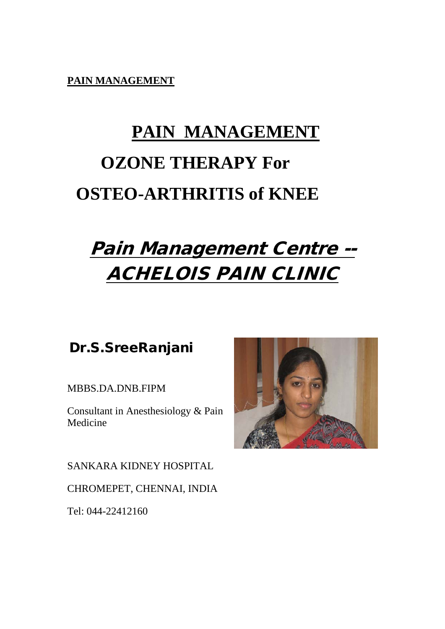**PAIN MANAGEMENT**

# **PAIN MANAGEMENT OZONE THERAPY For OSTEO-ARTHRITIS of KNEE**

## Pain Management Centre -- ACHELOIS PAIN CLINIC

### Dr.S.SreeRanjani

MBBS.DA.DNB.FIPM

Consultant in Anesthesiology & Pain Medicine

SANKARA KIDNEY HOSPITAL

CHROMEPET, CHENNAI, INDIA

Tel: 044-22412160

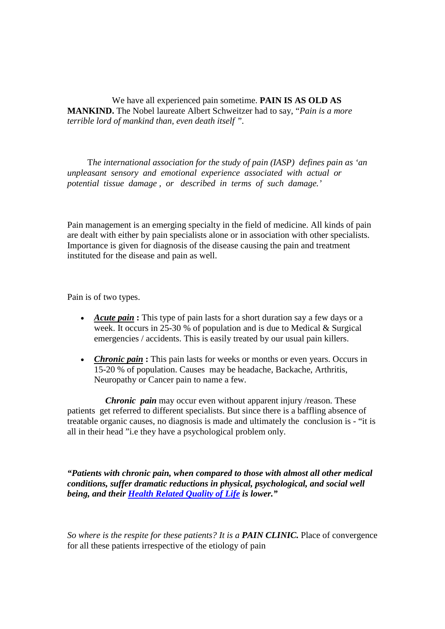We have all experienced pain sometime. **PAIN IS AS OLD AS MANKIND.** The Nobel laureate Albert Schweitzer had to say, "*Pain is a more terrible lord of mankind than, even death itself ".*

 T*he international association for the study of pain (IASP) defines pain as 'an unpleasant sensory and emotional experience associated with actual or potential tissue damage , or described in terms of such damage.'* 

Pain management is an emerging specialty in the field of medicine. All kinds of pain are dealt with either by pain specialists alone or in association with other specialists. Importance is given for diagnosis of the disease causing the pain and treatment instituted for the disease and pain as well.

Pain is of two types.

- *Acute pain* **:** This type of pain lasts for a short duration say a few days or a week. It occurs in 25-30 % of population and is due to Medical & Surgical emergencies / accidents. This is easily treated by our usual pain killers.
- *Chronic pain* : This pain lasts for weeks or months or even years. Occurs in 15-20 % of population. Causes may be headache, Backache, Arthritis, Neuropathy or Cancer pain to name a few.

 *Chronic pain* may occur even without apparent injury /reason. These patients get referred to different specialists. But since there is a baffling absence of treatable organic causes, no diagnosis is made and ultimately the conclusion is - "it is all in their head "i.e they have a psychological problem only.

*"Patients with chronic pain, when compared to those with almost all other medical conditions, suffer dramatic reductions in physical, psychological, and social well being, and their [Health Related Quality of Life](http://www.hopkins-arthritis.org/patient-corner/disease-management/qol.html) is lower."*

*So where is the respite for these patients? It is a PAIN CLINIC. Place of convergence* for all these patients irrespective of the etiology of pain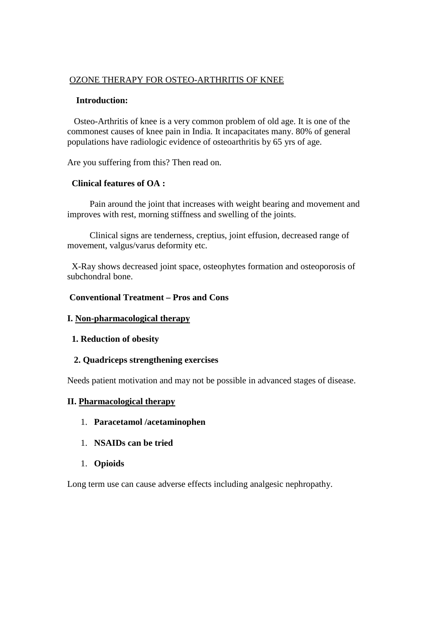#### OZONE THERAPY FOR OSTEO-ARTHRITIS OF KNEE

#### **Introduction:**

 Osteo-Arthritis of knee is a very common problem of old age. It is one of the commonest causes of knee pain in India. It incapacitates many. 80% of general populations have radiologic evidence of osteoarthritis by 65 yrs of age.

Are you suffering from this? Then read on.

#### **Clinical features of OA :**

Pain around the joint that increases with weight bearing and movement and improves with rest, morning stiffness and swelling of the joints.

 Clinical signs are tenderness, creptius, joint effusion, decreased range of movement, valgus/varus deformity etc.

X-Ray shows decreased joint space, osteophytes formation and osteoporosis of subchondral bone.

#### **Conventional Treatment – Pros and Cons**

#### **I. Non-pharmacological therapy**

#### **1. Reduction of obesity**

#### **2. Quadriceps strengthening exercises**

Needs patient motivation and may not be possible in advanced stages of disease.

#### **II. Pharmacological therapy**

- 1. **Paracetamol /acetaminophen**
- 1. **NSAIDs can be tried**
- 1. **Opioids**

Long term use can cause adverse effects including analgesic nephropathy.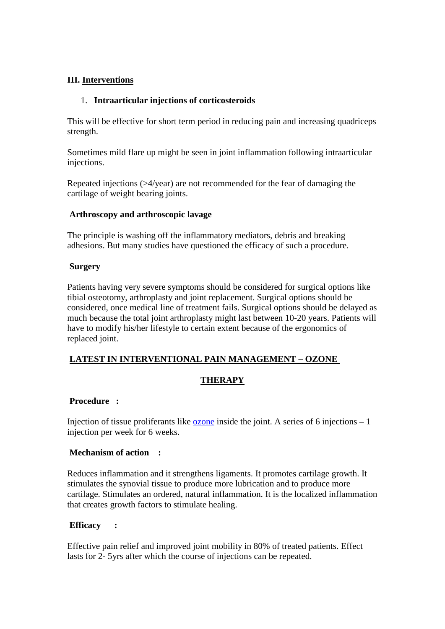#### **III. Interventions**

#### 1. **Intraarticular injections of corticosteroids**

This will be effective for short term period in reducing pain and increasing quadriceps strength.

Sometimes mild flare up might be seen in joint inflammation following intraarticular injections.

Repeated injections (>4/year) are not recommended for the fear of damaging the cartilage of weight bearing joints.

#### **Arthroscopy and arthroscopic lavage**

The principle is washing off the inflammatory mediators, debris and breaking adhesions. But many studies have questioned the efficacy of such a procedure.

#### **Surgery**

Patients having very severe symptoms should be considered for surgical options like tibial osteotomy, arthroplasty and joint replacement. Surgical options should be considered, once medical line of treatment fails. Surgical options should be delayed as much because the total joint arthroplasty might last between 10-20 years. Patients will have to modify his/her lifestyle to certain extent because of the ergonomics of replaced joint.

#### **LATEST IN INTERVENTIONAL PAIN MANAGEMENT – OZONE**

#### **THERAPY**

#### **Procedure :**

Injection of tissue proliferants like [ozone](http://www.austinozone.com/) inside the joint. A series of 6 injections  $-1$ injection per week for 6 weeks.

#### **Mechanism of action :**

Reduces inflammation and it strengthens ligaments. It promotes cartilage growth. It stimulates the synovial tissue to produce more lubrication and to produce more cartilage. Stimulates an ordered, natural inflammation. It is the localized inflammation that creates growth factors to stimulate healing.

#### **Efficacy :**

Effective pain relief and improved joint mobility in 80% of treated patients. Effect lasts for 2- 5yrs after which the course of injections can be repeated.